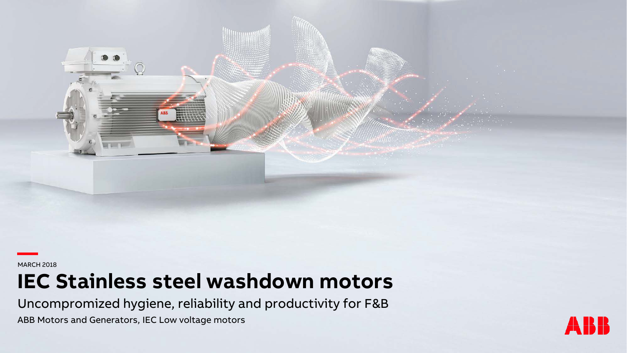**—**MARCH 2018

# **IEC Stainless steel washdown motors**

Uncompromized hygiene, reliability and productivity for F&B

ABB Motors and Generators, IEC Low voltage motors

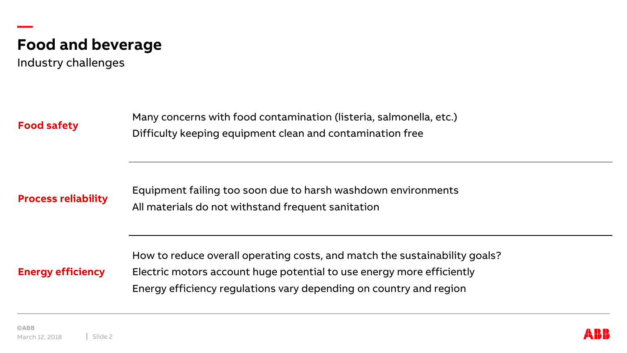

Industry challenges

**Food safety**

**—**

Many concerns with food contamination (listeria, salmonella, etc.) Difficulty keeping equipment clean and contamination free

**Process reliability**

Equipment failing too soon due to harsh washdown environments All materials do not withstand frequent sanitation

**Energy efficiency**

How to reduce overall operating costs, and match the sustainability goals? Electric motors account huge potential to use energy more efficiently Energy efficiency regulations vary depending on country and region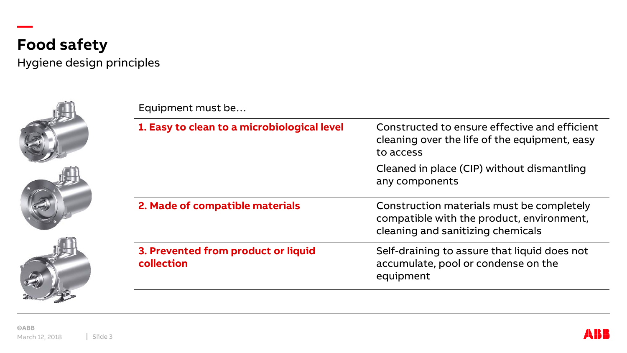

Hygiene design principles

Equipment must be…





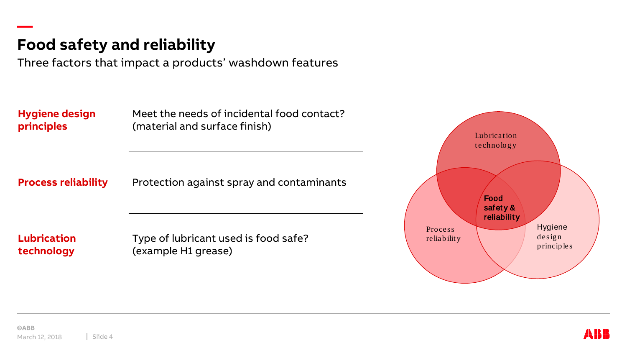### **Food safety and reliability**

Three factors that impact a products' washdown features

**Hygiene design principles**

**—**

Meet the needs of incidental food contact? (material and surface finish)

**Process reliability** 

Protection against spray and contaminants

**Lubrication technology**

Type of lubricant used is food safe? (example H1 grease)

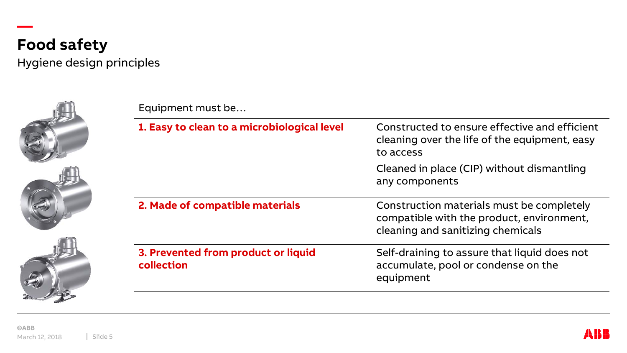

Hygiene design principles







| Equipment must be                                 |                                                                                                                             |  |  |  |  |
|---------------------------------------------------|-----------------------------------------------------------------------------------------------------------------------------|--|--|--|--|
| 1. Easy to clean to a microbiological level       | Constructed to ensure effective and efficient<br>cleaning over the life of the equipment, easy<br>to access                 |  |  |  |  |
|                                                   | Cleaned in place (CIP) without dismantling<br>any components                                                                |  |  |  |  |
| 2. Made of compatible materials                   | Construction materials must be completely<br>compatible with the product, environment,<br>cleaning and sanitizing chemicals |  |  |  |  |
| 3. Prevented from product or liquid<br>collection | Self-draining to assure that liquid does not<br>accumulate, pool or condense on the<br>equipment                            |  |  |  |  |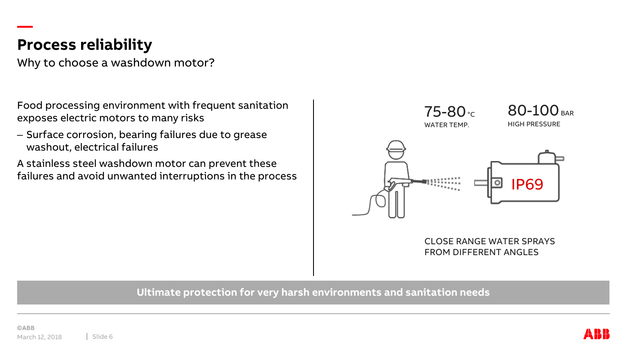### **Process reliability**

**—**

Why to choose a washdown motor?

Food processing environment with frequent sanitation exposes electric motors to many risks

– Surface corrosion, bearing failures due to grease washout, electrical failures

A stainless steel washdown motor can prevent these failures and avoid unwanted interruptions in the process



CLOSE RANGE WATER SPRAYS FROM DIFFERENT ANGLES

#### **Ultimate protection for very harsh environments and sanitation needs**

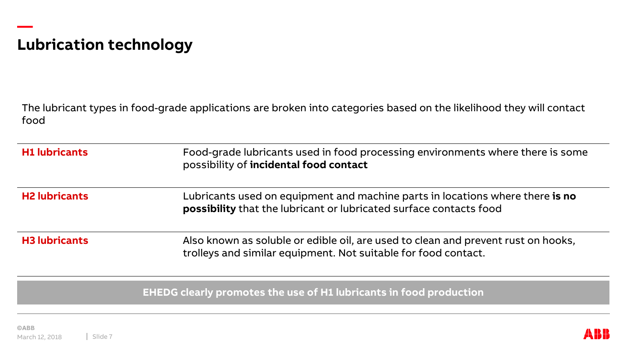## **Lubrication technology**

**—**

The lubricant types in food-grade applications are broken into categories based on the likelihood they will contact food

| <b>H1 lubricants</b> | Food-grade lubricants used in food processing environments where there is some<br>possibility of incidental food contact                            |
|----------------------|-----------------------------------------------------------------------------------------------------------------------------------------------------|
| <b>H2 lubricants</b> | Lubricants used on equipment and machine parts in locations where there is no<br>possibility that the lubricant or lubricated surface contacts food |
| <b>H3 lubricants</b> | Also known as soluble or edible oil, are used to clean and prevent rust on hooks,<br>trolleys and similar equipment. Not suitable for food contact. |

**EHEDG clearly promotes the use of H1 lubricants in food production**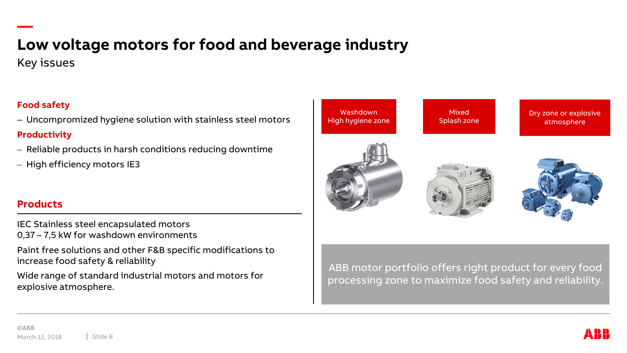# **— Low voltage motors for food and beverage industry**

Key issues

#### **Food safety**

– Uncompromized hygiene solution with stainless steel motors **Productivity**

- Reliable products in harsh conditions reducing downtime
- High efficiency motors IE3

#### **Products**

IEC Stainless steel encapsulated motors 0,37 – 7,5 kW for washdown environments

Paint free solutions and other F&B specific modifications to increase food safety & reliability

Wide range of standard industrial motors and motors for explosive atmosphere.

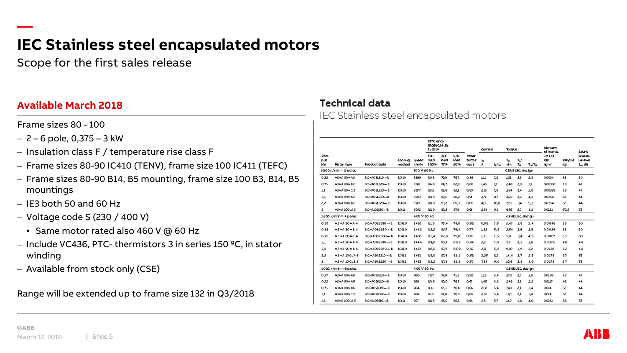Scope for the first sales release

#### **Available March 2018**

Frame sizes 80 - 100

**—**

- 2 6 pole, 0,375 3 kW
- Insulation class F / temperature rise class F
- Frame sizes 80-90 IC410 (TENV), frame size 100 IC411 (TEFC)
- Frame sizes 80-90 B14, B5 mounting, frame size 100 B3, B14, B5 mountings
- $-$  IE3 both 50 and 60 Hz
- Voltage code S (230 / 400 V)
	- Same motor rated also 460 V @ 60 Hz
- Include VC436, PTC- thermistors 3 in series 150 ºC, in stator winding
- Available from stock only (CSE)

Range will be extended up to frame size 132 in Q3/2018

#### **Technical data**

IEC Stainless steel encapsulated motors

|                          |                        |                       |                   |                | <b>Efficiency</b><br>1:3014 | IEC60034-30-      |                    |                                | <b>Current</b> |              | Torque                      |                    | Hament<br>of inertial |                                     | Sound        |                            |
|--------------------------|------------------------|-----------------------|-------------------|----------------|-----------------------------|-------------------|--------------------|--------------------------------|----------------|--------------|-----------------------------|--------------------|-----------------------|-------------------------------------|--------------|----------------------------|
| Out-<br>put<br><b>KW</b> | Hatar type             | Product code          | Cooling<br>method | Speed<br>r/min | <b>Bull</b><br>load<br>100% | 3/4<br>load<br>高味 | 1/2<br>load<br>50% | <b>Power</b><br>factor<br>easí | ь<br>A         | しんしゅう しょうしょう | T <sub>H</sub><br><b>Nm</b> | Т,/<br>$T_{\rm H}$ | $T_{\rm h}/T_{\rm H}$ | $J = 1/4$<br>œ<br>ligm <sup>a</sup> | Waight<br>ka | pressu<br>relevel<br>لی dB |
|                          | 3000r/min=2poles       |                       |                   | 400 V 50 Hz    |                             |                   |                    |                                |                |              |                             | CENELEC design     |                       |                                     |              |                            |
| 0.SS                     | нзна вонаг             | BGRAOSESIO-RE         | <b>IC410</b>      | 2899           | 80.S                        | 79,9              | 767                | 0,89                           | ш              | 7.5          | T8T                         | 2,3                | 3.8                   | 0.0034                              | 23           | SO.                        |
| 0.75                     | <b>H3HASOH B2</b>      | 3GRA08L320-AB         | IC410             | 2891           | 84.6                        | 84,7              | 82,3               | 0,88                           | 145            | 7,7          | 248                         | 2,3                | 37                    | 0.00339                             | 23           | 47                         |
| TT                       | нзна вонса             | BGRA08L330-AB         | IC410             | 2877           | 832                         | 88.6              | 82.1               | 0.90                           | 212            | 7.9          | 364                         | 2.4                | 38                    | 0.00328                             | 23           | 47                         |
| 1s                       | <b>N3NA 90HA2</b>      | BGRADGEBLOW-B         | <b>IC410</b>      | 2903           | 88.3                        | 80.0              | 88.2               | αau                            | 271            | 87           | 4,93                        | 88                 | 4.3                   | 0.0354                              | sa.          | 44                         |
| 2,2                      | <b>NSNA 90N B2</b>     | 3GRAO GES20-A B       | IC410             | 2021           | 80.8                        | 90,2              | 89.3               | 0,89                           | 4,0            | 10,8         | 719                         | 34                 | S.B                   | 0,0354                              | sa           | 44                         |
| з                        | <b>H3HA100LA2</b>      | BORAIOISIO-RE         | <b>ICALL</b>      | 2005           | 88.9                        | 88,2              | 87,8               | αœ                             | \$34           | 0,1          | 986                         | 2,7                | 4,3                   | <b>OOLBI</b>                        | 60, S        | 68.                        |
|                          | 1500 r/min = 4 poles   |                       |                   | 400 V 50 Hz    |                             |                   |                    |                                |                |              |                             | CENELEC design     |                       |                                     |              |                            |
| 0,37                     | <b>N3NA 80 NA 4</b>    | 3GHA0823I0---B        | <b>K410</b>       | 14S6           | 813                         | 79.4              | 74.0               | 0,68                           | 0.98           | 7,6          | 2.47                        | 3,9                | 5,4                   | 0.0049                              | 23           | SO.                        |
| 0,SS                     | <b>H3HA 80 HB 4</b>    | 3GHA082320---B        | <b>K410</b>       | 1445           | 83,5                        | 82.7              | 79.4               | 0,77                           | L23            | 6,8          | 3.64                        | 2.6                | 3,9                   | 0.0059                              | 23           | SO.                        |
| 0,75                     | <b>N3NA 80 NC 4</b>    | 3GHA082330--- B       | <b>K410</b>       | 1436           | 83.4                        | 82.6              | 79.0               | 0,76                           | 47             | 7,5          | 5.0                         | 3.4                | 4, S                  | ೲೲ                                  | 83           | SO.                        |
| 1,1                      | <b>NSNA 90 NA 4</b>    | 3GHA0923I0---B        | <b>K410</b>       | 1444           | 84,6                        | 85.1              | 83,5               | 0,84                           | 2,2            | 7,0          | 7,3                         | 2,3                | 36                    | 0.0375                              | 48           | 44                         |
| 1,5                      | <b>NSNA 90 NB 4</b>    | 3GHA092320---B        | <b>K410</b>       | 1437           | 86.5                        | 87.5              | 86.9               | 0.87                           | 2.8            | 6,5          | 9.97                        | 1.9                | 33                    | 0'OTSS                              | sa           | 44                         |
| 2,2                      | <b>NSNA 100LA4</b>     | <b>BGHAIOZSIO---B</b> | K411              | 1461           | 880                         | 87.4              | 85.1               | 0.68                           | 5.36           | 8.7          | 14.4                        | 2.7                | S.Z                   | 0.0178                              | \$7          | 68                         |
| з.                       | нзна 1001 в 4          | 3GHAI02S20--- B       | <b>K411</b>       | 1463           | 88,3                        | 87,8              | 85,S               | 0,67                           | 7.24           | 9,0          | 19,6                        | 2,8                | 4,9                   | 0.0178                              | S7.          | 63                         |
|                          | $1000$ r/min = 6 poles |                       |                   | 400 V 50 Hz    |                             |                   |                    |                                |                |              |                             | CENELEC design     |                       |                                     |              |                            |
| 0.37                     | <b>NSNA SONAE</b>      | 3GHA0883IO-4B         | IC410             | 960            | 787                         | 76,9              | 713                | 0.98                           | ШS             | 5.4          | 373                         | 87                 | 3,9                   | 0.01.29                             | 83           | 47                         |
| 0.SS                     | <b>N3NA 90NA6</b>      | 3GRAD 9830-AB         | IC410             | 939            | 80.9                        | 80.0              | 763                | 0.67                           | 146            | S, B         | \$48                        | 21                 | 3.3                   | OOH7                                | 48.          | 44                         |
| 0.75                     | <b>N3NA 90N BE</b>     | 3GHA098320-4B         | IC410             | 964            | 831                         | 82.1              | 784                | 0.64                           | 202            | S, 4         | 7.43                        | 21                 | 3.4                   | 0.014                               | sa.          | 44                         |
| 1,1                      | нзна вонсе             | 3GHAO98380---B        | IC410             | 939            | 82,5                        | ଞ୍ଜ               | 788                | αæ                             | 5.81           | 5,4          | mо                          | 21                 | 3.4                   | 0.014                               | sa           | 44                         |
| 1,S                      | <b>H3HA100LA6</b>      | SCHALOSSIO-HB         | киш               | 977            | 88.6                        | 88.0              | ی≥⊗                | 0.64                           | 38             | 67           | 14,7                        | Tg                 | 4,0                   | <b>COISI</b>                        | ss.          | 63                         |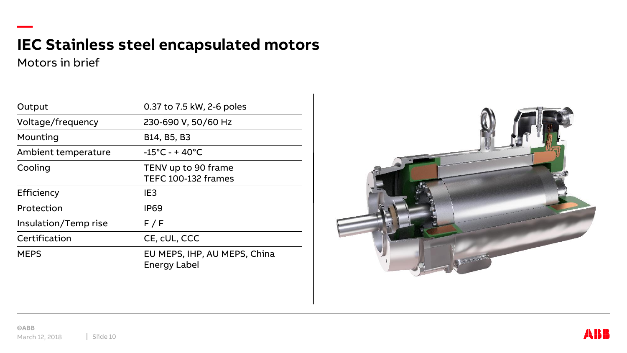Motors in brief

**—**

| Output               | 0.37 to 7.5 kW, 2-6 poles                           |
|----------------------|-----------------------------------------------------|
| Voltage/frequency    | 230-690 V, 50/60 Hz                                 |
| Mounting             | B14, B5, B3                                         |
| Ambient temperature  | $-15^{\circ}$ C - + 40 $^{\circ}$ C                 |
| Cooling              | TENV up to 90 frame<br>TEFC 100-132 frames          |
| Efficiency           | IE <sub>3</sub>                                     |
| Protection           | <b>IP69</b>                                         |
| Insulation/Temp rise | F/F                                                 |
| Certification        | CE, cUL, CCC                                        |
| <b>MEPS</b>          | EU MEPS, IHP, AU MEPS, China<br><b>Energy Label</b> |



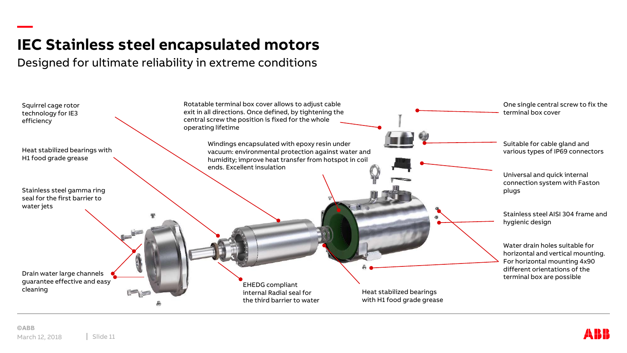Designed for ultimate reliability in extreme conditions

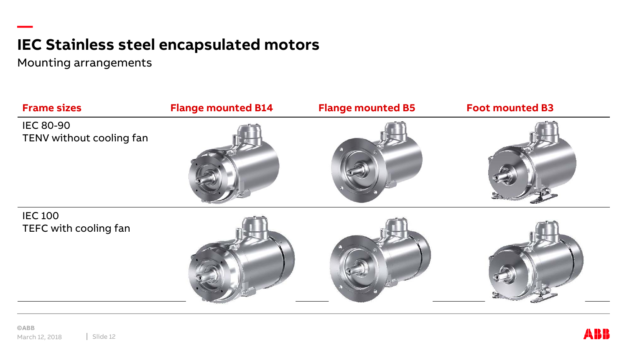Mounting arrangements



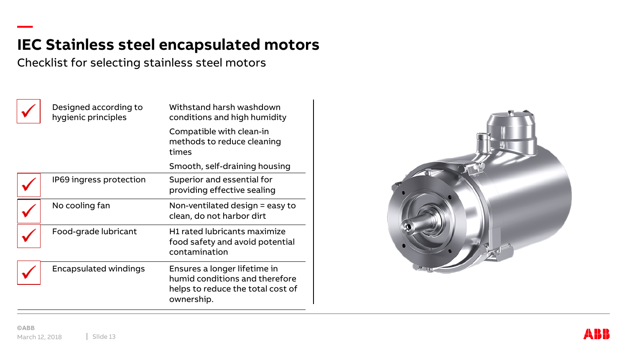Checklist for selecting stainless steel motors



**—**

| Designed according to<br>hygienic principles | Withstand harsh washdown<br>conditions and high humidity                                                          |
|----------------------------------------------|-------------------------------------------------------------------------------------------------------------------|
|                                              | Compatible with clean-in<br>methods to reduce cleaning<br>times                                                   |
|                                              | Smooth, self-draining housing                                                                                     |
| IP69 ingress protection                      | Superior and essential for<br>providing effective sealing                                                         |
| No cooling fan                               | Non-ventilated design = easy to<br>clean, do not harbor dirt                                                      |
| Food-grade lubricant                         | H1 rated lubricants maximize<br>food safety and avoid potential<br>contamination                                  |
| Encapsulated windings                        | Ensures a longer lifetime in<br>humid conditions and therefore<br>helps to reduce the total cost of<br>ownership. |

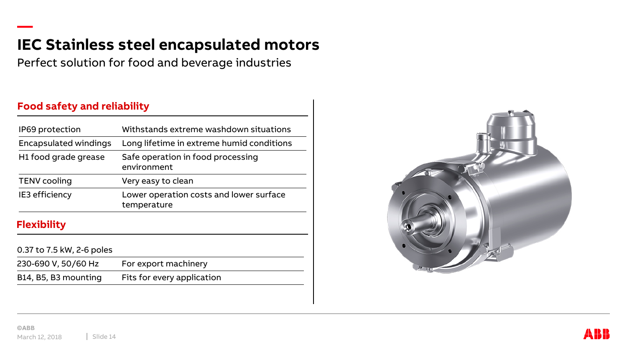Perfect solution for food and beverage industries

#### **Food safety and reliability**

**—**

| IP69 protection              | Withstands extreme washdown situations                 |
|------------------------------|--------------------------------------------------------|
| <b>Encapsulated windings</b> | Long lifetime in extreme humid conditions              |
| H1 food grade grease         | Safe operation in food processing<br>environment       |
| <b>TENV</b> cooling          | Very easy to clean                                     |
| IE3 efficiency               | Lower operation costs and lower surface<br>temperature |
| <b>Flexibility</b>           |                                                        |
| 0.37 to 7.5 kW, 2-6 poles    |                                                        |
| 230-690 V, 50/60 Hz          | For export machinery                                   |
|                              |                                                        |

B14, B5, B3 mounting Fits for every application



**©ABB** March 12, 2018 | Slide 14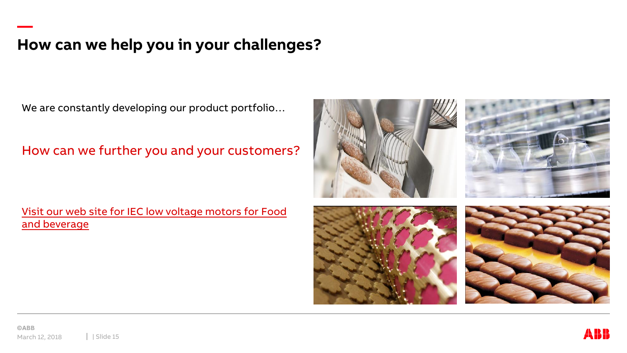### **How can we help you in your challenges?**

We are constantly developing our product portfolio…

How can we further you and your customers?



Visit our web site for IEC low voltage motors for Food [and beverage](http://new.abb.com/motors-generators/iec-low-voltage-motors/special-application-motors/motors-for-food-and-beverage)





**—**